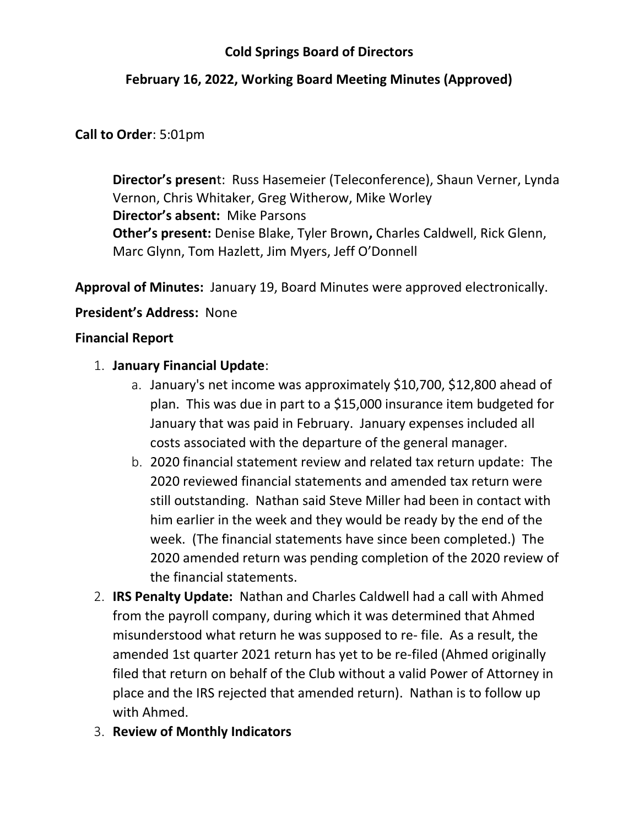# Cold Springs Board of Directors

# February 16, 2022, Working Board Meeting Minutes (Approved)

## Call to Order: 5:01pm

Director's present: Russ Hasemeier (Teleconference), Shaun Verner, Lynda Vernon, Chris Whitaker, Greg Witherow, Mike Worley Director's absent: Mike Parsons Other's present: Denise Blake, Tyler Brown, Charles Caldwell, Rick Glenn, Marc Glynn, Tom Hazlett, Jim Myers, Jeff O'Donnell

Approval of Minutes: January 19, Board Minutes were approved electronically.

### President's Address: None

### Financial Report

## 1. January Financial Update:

- a. January's net income was approximately \$10,700, \$12,800 ahead of plan. This was due in part to a \$15,000 insurance item budgeted for January that was paid in February. January expenses included all costs associated with the departure of the general manager.
- b. 2020 financial statement review and related tax return update: The 2020 reviewed financial statements and amended tax return were still outstanding. Nathan said Steve Miller had been in contact with him earlier in the week and they would be ready by the end of the week. (The financial statements have since been completed.) The 2020 amended return was pending completion of the 2020 review of the financial statements.
- 2. IRS Penalty Update: Nathan and Charles Caldwell had a call with Ahmed from the payroll company, during which it was determined that Ahmed misunderstood what return he was supposed to re- file. As a result, the amended 1st quarter 2021 return has yet to be re-filed (Ahmed originally filed that return on behalf of the Club without a valid Power of Attorney in place and the IRS rejected that amended return). Nathan is to follow up with Ahmed.
- 3. Review of Monthly Indicators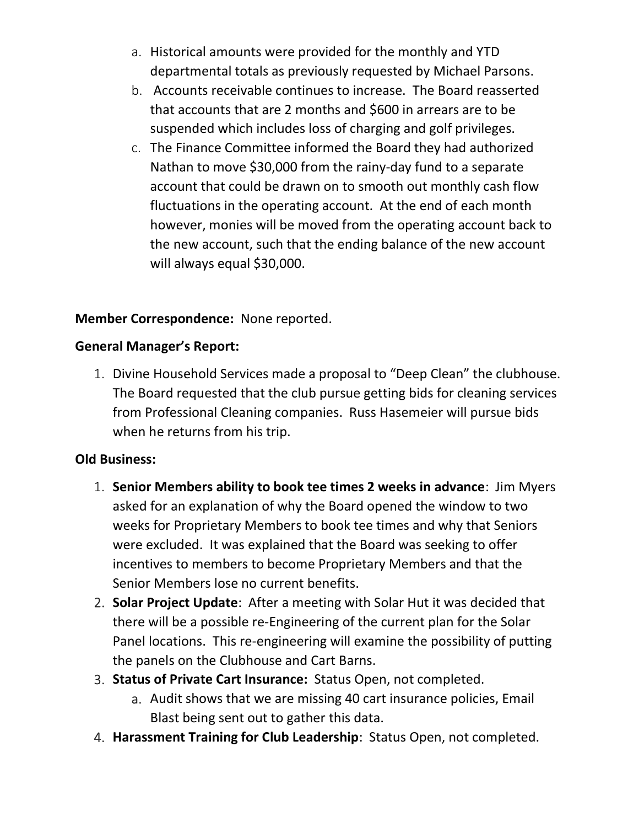- a. Historical amounts were provided for the monthly and YTD departmental totals as previously requested by Michael Parsons.
- b. Accounts receivable continues to increase. The Board reasserted that accounts that are 2 months and \$600 in arrears are to be suspended which includes loss of charging and golf privileges.
- c. The Finance Committee informed the Board they had authorized Nathan to move \$30,000 from the rainy-day fund to a separate account that could be drawn on to smooth out monthly cash flow fluctuations in the operating account. At the end of each month however, monies will be moved from the operating account back to the new account, such that the ending balance of the new account will always equal \$30,000.

# Member Correspondence: None reported.

## General Manager's Report:

1. Divine Household Services made a proposal to "Deep Clean" the clubhouse. The Board requested that the club pursue getting bids for cleaning services from Professional Cleaning companies. Russ Hasemeier will pursue bids when he returns from his trip.

# Old Business:

- 1. Senior Members ability to book tee times 2 weeks in advance: Jim Myers asked for an explanation of why the Board opened the window to two weeks for Proprietary Members to book tee times and why that Seniors were excluded. It was explained that the Board was seeking to offer incentives to members to become Proprietary Members and that the Senior Members lose no current benefits.
- 2. Solar Project Update: After a meeting with Solar Hut it was decided that there will be a possible re-Engineering of the current plan for the Solar Panel locations. This re-engineering will examine the possibility of putting the panels on the Clubhouse and Cart Barns.
- 3. Status of Private Cart Insurance: Status Open, not completed.
	- a. Audit shows that we are missing 40 cart insurance policies, Email Blast being sent out to gather this data.
- 4. Harassment Training for Club Leadership: Status Open, not completed.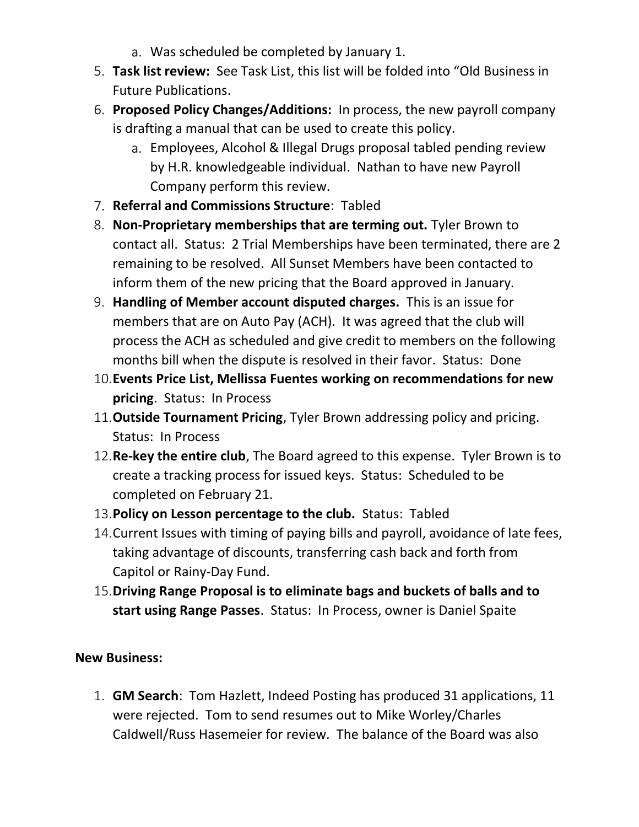- a. Was scheduled be completed by January 1.
- 5. Task list review: See Task List, this list will be folded into "Old Business in Future Publications.
- 6. Proposed Policy Changes/Additions: In process, the new payroll company is drafting a manual that can be used to create this policy.
	- a. Employees, Alcohol & Illegal Drugs proposal tabled pending review by H.R. knowledgeable individual. Nathan to have new Payroll Company perform this review.
- 7. Referral and Commissions Structure: Tabled
- 8. Non-Proprietary memberships that are terming out. Tyler Brown to contact all. Status: 2 Trial Memberships have been terminated, there are 2 remaining to be resolved. All Sunset Members have been contacted to inform them of the new pricing that the Board approved in January.
- 9. Handling of Member account disputed charges. This is an issue for members that are on Auto Pay (ACH). It was agreed that the club will process the ACH as scheduled and give credit to members on the following months bill when the dispute is resolved in their favor. Status: Done
- 10.Events Price List, Mellissa Fuentes working on recommendations for new pricing. Status: In Process
- 11. Outside Tournament Pricing, Tyler Brown addressing policy and pricing. Status: In Process
- 12. Re-key the entire club, The Board agreed to this expense. Tyler Brown is to create a tracking process for issued keys. Status: Scheduled to be completed on February 21.
- 13. Policy on Lesson percentage to the club. Status: Tabled
- 14.Current Issues with timing of paying bills and payroll, avoidance of late fees, taking advantage of discounts, transferring cash back and forth from Capitol or Rainy-Day Fund.
- 15.Driving Range Proposal is to eliminate bags and buckets of balls and to start using Range Passes. Status: In Process, owner is Daniel Spaite

# New Business:

1. GM Search: Tom Hazlett, Indeed Posting has produced 31 applications, 11 were rejected. Tom to send resumes out to Mike Worley/Charles Caldwell/Russ Hasemeier for review. The balance of the Board was also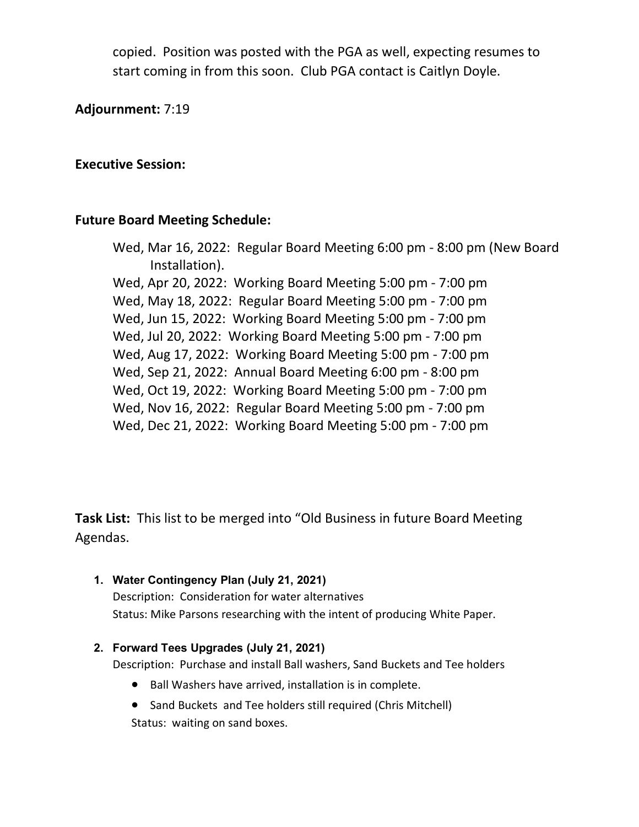copied. Position was posted with the PGA as well, expecting resumes to start coming in from this soon. Club PGA contact is Caitlyn Doyle.

Adjournment: 7:19

#### Executive Session:

### Future Board Meeting Schedule:

Wed, Mar 16, 2022: Regular Board Meeting 6:00 pm - 8:00 pm (New Board Installation). Wed, Apr 20, 2022: Working Board Meeting 5:00 pm - 7:00 pm Wed, May 18, 2022: Regular Board Meeting 5:00 pm - 7:00 pm Wed, Jun 15, 2022: Working Board Meeting 5:00 pm - 7:00 pm Wed, Jul 20, 2022: Working Board Meeting 5:00 pm - 7:00 pm Wed, Aug 17, 2022: Working Board Meeting 5:00 pm - 7:00 pm Wed, Sep 21, 2022: Annual Board Meeting 6:00 pm - 8:00 pm Wed, Oct 19, 2022: Working Board Meeting 5:00 pm - 7:00 pm Wed, Nov 16, 2022: Regular Board Meeting 5:00 pm - 7:00 pm Wed, Dec 21, 2022: Working Board Meeting 5:00 pm - 7:00 pm

Task List: This list to be merged into "Old Business in future Board Meeting Agendas.

1. Water Contingency Plan (July 21, 2021) Description: Consideration for water alternatives Status: Mike Parsons researching with the intent of producing White Paper.

#### 2. Forward Tees Upgrades (July 21, 2021)

Description: Purchase and install Ball washers, Sand Buckets and Tee holders

- Ball Washers have arrived, installation is in complete.
- Sand Buckets and Tee holders still required (Chris Mitchell) Status: waiting on sand boxes.